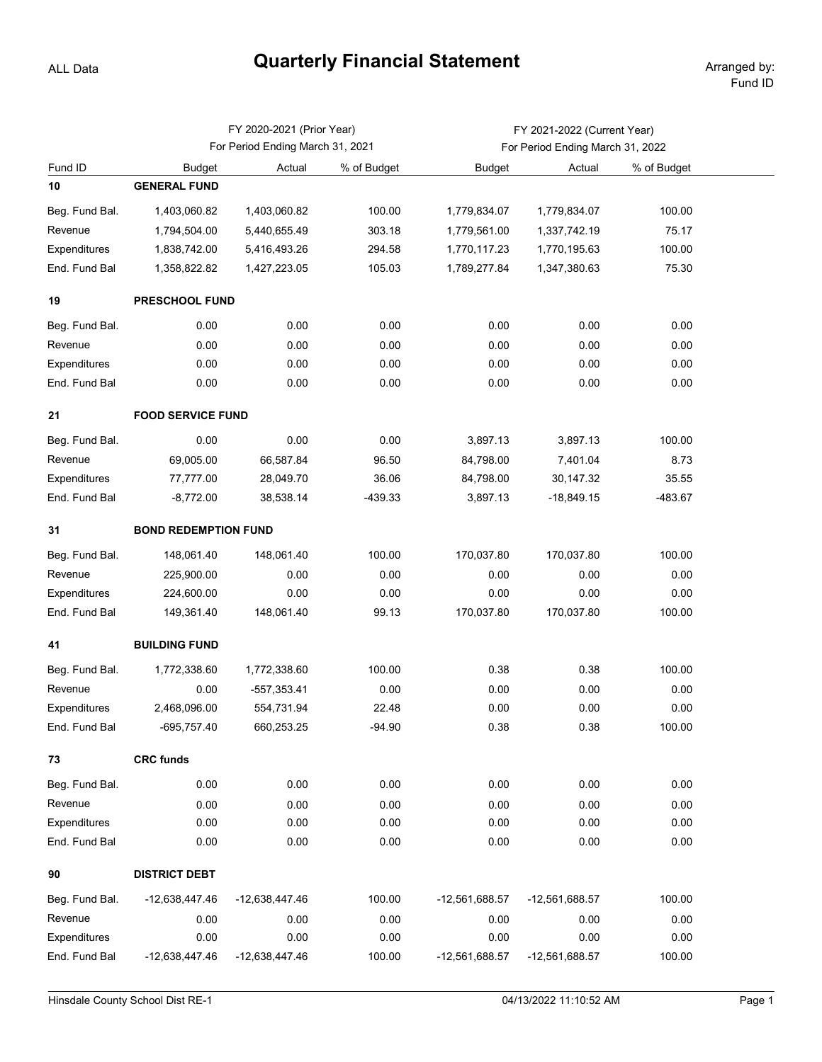## **Quarterly Financial Statement** Arranged by:

ALL Data

|                |                                  | FY 2020-2021 (Prior Year) |             | FY 2021-2022 (Current Year)      |                |             |  |  |  |  |  |
|----------------|----------------------------------|---------------------------|-------------|----------------------------------|----------------|-------------|--|--|--|--|--|
|                | For Period Ending March 31, 2021 |                           |             | For Period Ending March 31, 2022 |                |             |  |  |  |  |  |
| Fund ID        | <b>Budget</b>                    | Actual                    | % of Budget | <b>Budget</b>                    | Actual         | % of Budget |  |  |  |  |  |
| 10             | <b>GENERAL FUND</b>              |                           |             |                                  |                |             |  |  |  |  |  |
| Beg. Fund Bal. | 1,403,060.82                     | 1,403,060.82              | 100.00      | 1,779,834.07                     | 1,779,834.07   | 100.00      |  |  |  |  |  |
| Revenue        | 1,794,504.00                     | 5,440,655.49              | 303.18      | 1,779,561.00                     | 1,337,742.19   | 75.17       |  |  |  |  |  |
| Expenditures   | 1,838,742.00                     | 5,416,493.26              | 294.58      | 1,770,117.23                     | 1,770,195.63   | 100.00      |  |  |  |  |  |
| End. Fund Bal  | 1,358,822.82                     | 1,427,223.05              | 105.03      | 1,789,277.84                     | 1,347,380.63   | 75.30       |  |  |  |  |  |
| 19             | PRESCHOOL FUND                   |                           |             |                                  |                |             |  |  |  |  |  |
| Beg. Fund Bal. | 0.00                             | 0.00                      | 0.00        | 0.00                             | 0.00           | 0.00        |  |  |  |  |  |
| Revenue        | 0.00                             | 0.00                      | 0.00        | 0.00                             | 0.00           | 0.00        |  |  |  |  |  |
| Expenditures   | 0.00                             | 0.00                      | 0.00        | 0.00                             | 0.00           | 0.00        |  |  |  |  |  |
| End. Fund Bal  | 0.00                             | 0.00                      | 0.00        | 0.00                             | 0.00           | 0.00        |  |  |  |  |  |
| 21             | <b>FOOD SERVICE FUND</b>         |                           |             |                                  |                |             |  |  |  |  |  |
| Beg. Fund Bal. | 0.00                             | 0.00                      | 0.00        | 3,897.13                         | 3,897.13       | 100.00      |  |  |  |  |  |
| Revenue        | 69,005.00                        | 66,587.84                 | 96.50       | 84,798.00                        | 7,401.04       | 8.73        |  |  |  |  |  |
| Expenditures   | 77,777.00                        | 28,049.70                 | 36.06       | 84,798.00                        | 30,147.32      | 35.55       |  |  |  |  |  |
| End. Fund Bal  | $-8,772.00$                      | 38,538.14                 | $-439.33$   | 3,897.13                         | $-18,849.15$   | -483.67     |  |  |  |  |  |
| 31             | <b>BOND REDEMPTION FUND</b>      |                           |             |                                  |                |             |  |  |  |  |  |
| Beg. Fund Bal. | 148,061.40                       | 148,061.40                | 100.00      | 170,037.80                       | 170,037.80     | 100.00      |  |  |  |  |  |
| Revenue        | 225,900.00                       | 0.00                      | 0.00        | 0.00                             | 0.00           | 0.00        |  |  |  |  |  |
| Expenditures   | 224,600.00                       | 0.00                      | 0.00        | 0.00                             | 0.00           | 0.00        |  |  |  |  |  |
| End. Fund Bal  | 149,361.40                       | 148,061.40                | 99.13       | 170,037.80                       | 170,037.80     | 100.00      |  |  |  |  |  |
| 41             | <b>BUILDING FUND</b>             |                           |             |                                  |                |             |  |  |  |  |  |
| Beg. Fund Bal. | 1,772,338.60                     | 1,772,338.60              | 100.00      | 0.38                             | 0.38           | 100.00      |  |  |  |  |  |
| Revenue        | 0.00                             | $-557,353.41$             | 0.00        | 0.00                             | 0.00           | 0.00        |  |  |  |  |  |
| Expenditures   | 2,468,096.00                     | 554,731.94                | 22.48       | 0.00                             | 0.00           | 0.00        |  |  |  |  |  |
| End. Fund Bal  | -695,757.40                      | 660,253.25                | $-94.90$    | 0.38                             | 0.38           | 100.00      |  |  |  |  |  |
| 73             | <b>CRC funds</b>                 |                           |             |                                  |                |             |  |  |  |  |  |
| Beg. Fund Bal. | 0.00                             | 0.00                      | 0.00        | 0.00                             | 0.00           | 0.00        |  |  |  |  |  |
| Revenue        | 0.00                             | 0.00                      | 0.00        | 0.00                             | 0.00           | 0.00        |  |  |  |  |  |
| Expenditures   | 0.00                             | 0.00                      | 0.00        | 0.00                             | 0.00           | 0.00        |  |  |  |  |  |
| End. Fund Bal  | 0.00                             | 0.00                      | 0.00        | 0.00                             | 0.00           | 0.00        |  |  |  |  |  |
| 90             | <b>DISTRICT DEBT</b>             |                           |             |                                  |                |             |  |  |  |  |  |
| Beg. Fund Bal. | -12,638,447.46                   | -12,638,447.46            | 100.00      | -12,561,688.57                   | -12,561,688.57 | 100.00      |  |  |  |  |  |
| Revenue        | 0.00                             | 0.00                      | 0.00        | 0.00                             | 0.00           | 0.00        |  |  |  |  |  |
| Expenditures   | 0.00                             | 0.00                      | 0.00        | 0.00                             | 0.00           | 0.00        |  |  |  |  |  |
| End. Fund Bal  | -12,638,447.46                   | -12,638,447.46            | 100.00      | -12,561,688.57                   | -12,561,688.57 | 100.00      |  |  |  |  |  |